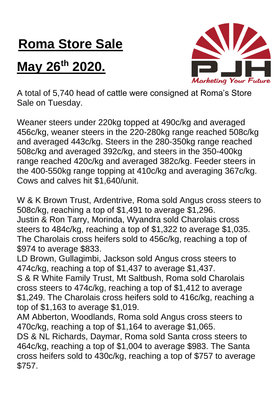## **Roma Store Sale**

## **May 26th 2020.**



A total of 5,740 head of cattle were consigned at Roma's Store Sale on Tuesday.

Weaner steers under 220kg topped at 490c/kg and averaged 456c/kg, weaner steers in the 220-280kg range reached 508c/kg and averaged 443c/kg. Steers in the 280-350kg range reached 508c/kg and averaged 392c/kg, and steers in the 350-400kg range reached 420c/kg and averaged 382c/kg. Feeder steers in the 400-550kg range topping at 410c/kg and averaging 367c/kg. Cows and calves hit \$1,640/unit.

W & K Brown Trust, Ardentrive, Roma sold Angus cross steers to 508c/kg, reaching a top of \$1,491 to average \$1,296. Justin & Ron Tarry, Morinda, Wyandra sold Charolais cross steers to 484c/kg, reaching a top of \$1,322 to average \$1,035. The Charolais cross heifers sold to 456c/kg, reaching a top of \$974 to average \$833.

LD Brown, Gullagimbi, Jackson sold Angus cross steers to 474c/kg, reaching a top of \$1,437 to average \$1,437.

S & R White Family Trust, Mt Saltbush, Roma sold Charolais cross steers to 474c/kg, reaching a top of \$1,412 to average \$1,249. The Charolais cross heifers sold to 416c/kg, reaching a top of \$1,163 to average \$1,019.

AM Abberton, Woodlands, Roma sold Angus cross steers to 470c/kg, reaching a top of \$1,164 to average \$1,065.

DS & NL Richards, Daymar, Roma sold Santa cross steers to 464c/kg, reaching a top of \$1,004 to average \$983. The Santa cross heifers sold to 430c/kg, reaching a top of \$757 to average \$757.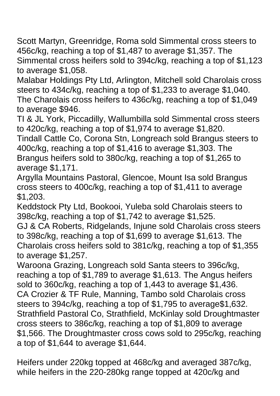Scott Martyn, Greenridge, Roma sold Simmental cross steers to 456c/kg, reaching a top of \$1,487 to average \$1,357. The Simmental cross heifers sold to 394c/kg, reaching a top of \$1,123 to average \$1,058.

Malabar Holdings Pty Ltd, Arlington, Mitchell sold Charolais cross steers to 434c/kg, reaching a top of \$1,233 to average \$1,040. The Charolais cross heifers to 436c/kg, reaching a top of \$1,049 to average \$946.

TI & JL York, Piccadilly, Wallumbilla sold Simmental cross steers to 420c/kg, reaching a top of \$1,974 to average \$1,820.

Tindall Cattle Co, Corona Stn, Longreach sold Brangus steers to 400c/kg, reaching a top of \$1,416 to average \$1,303. The Brangus heifers sold to 380c/kg, reaching a top of \$1,265 to average \$1,171.

Argylla Mountains Pastoral, Glencoe, Mount Isa sold Brangus cross steers to 400c/kg, reaching a top of \$1,411 to average \$1,203.

Keddstock Pty Ltd, Bookooi, Yuleba sold Charolais steers to 398c/kg, reaching a top of \$1,742 to average \$1,525.

GJ & CA Roberts, Ridgelands, Injune sold Charolais cross steers to 398c/kg, reaching a top of \$1,699 to average \$1,613. The Charolais cross heifers sold to 381c/kg, reaching a top of \$1,355 to average \$1,257.

Waroona Grazing, Longreach sold Santa steers to 396c/kg, reaching a top of \$1,789 to average \$1,613. The Angus heifers sold to 360c/kg, reaching a top of 1,443 to average \$1,436. CA Crozier & TF Rule, Manning, Tambo sold Charolais cross steers to 394c/kg, reaching a top of \$1,795 to average\$1,632. Strathfield Pastoral Co, Strathfield, McKinlay sold Droughtmaster cross steers to 386c/kg, reaching a top of \$1,809 to average \$1,566. The Droughtmaster cross cows sold to 295c/kg, reaching a top of \$1,644 to average \$1,644.

Heifers under 220kg topped at 468c/kg and averaged 387c/kg, while heifers in the 220-280kg range topped at 420c/kg and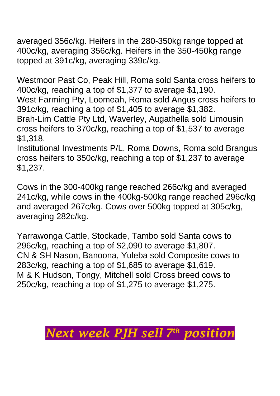averaged 356c/kg. Heifers in the 280-350kg range topped at 400c/kg, averaging 356c/kg. Heifers in the 350-450kg range topped at 391c/kg, averaging 339c/kg.

Westmoor Past Co, Peak Hill, Roma sold Santa cross heifers to 400c/kg, reaching a top of \$1,377 to average \$1,190. West Farming Pty, Loomeah, Roma sold Angus cross heifers to 391c/kg, reaching a top of \$1,405 to average \$1,382. Brah-Lim Cattle Pty Ltd, Waverley, Augathella sold Limousin cross heifers to 370c/kg, reaching a top of \$1,537 to average \$1,318.

Institutional Investments P/L, Roma Downs, Roma sold Brangus cross heifers to 350c/kg, reaching a top of \$1,237 to average \$1,237.

Cows in the 300-400kg range reached 266c/kg and averaged 241c/kg, while cows in the 400kg-500kg range reached 296c/kg and averaged 267c/kg. Cows over 500kg topped at 305c/kg, averaging 282c/kg.

Yarrawonga Cattle, Stockade, Tambo sold Santa cows to 296c/kg, reaching a top of \$2,090 to average \$1,807. CN & SH Nason, Banoona, Yuleba sold Composite cows to 283c/kg, reaching a top of \$1,685 to average \$1,619. M & K Hudson, Tongy, Mitchell sold Cross breed cows to 250c/kg, reaching a top of \$1,275 to average \$1,275.

## *Next week PJH sell 7 th position*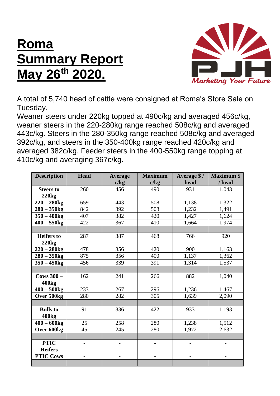## **Roma Summary Report May 26th 2020.**



A total of 5,740 head of cattle were consigned at Roma's Store Sale on Tuesday.

Weaner steers under 220kg topped at 490c/kg and averaged 456c/kg, weaner steers in the 220-280kg range reached 508c/kg and averaged 443c/kg. Steers in the 280-350kg range reached 508c/kg and averaged 392c/kg, and steers in the 350-400kg range reached 420c/kg and averaged 382c/kg. Feeder steers in the 400-550kg range topping at 410c/kg and averaging 367c/kg.

| <b>Description</b> | <b>Head</b> | <b>Average</b>           | <b>Maximum</b>           | Average \$/ | <b>Maximum \$</b>        |
|--------------------|-------------|--------------------------|--------------------------|-------------|--------------------------|
|                    |             | c/kg                     | c/kg                     | head        | / head                   |
| <b>Steers to</b>   | 260         | 456                      | 490                      | 931         | 1,043                    |
| 220kg              |             |                          |                          |             |                          |
| $220 - 280$ kg     | 659         | 443                      | 508                      | 1,138       | 1,322                    |
| $280 - 350$ kg     | 842         | 392                      | 508                      | 1,232       | 1,491                    |
| $350 - 400$ kg     | 407         | 382                      | 420                      | 1,427       | 1,624                    |
| $400 - 550$ kg     | 422         | 367                      | 410                      | 1,664       | 1,974                    |
|                    |             |                          |                          |             |                          |
| <b>Heifers</b> to  | 287         | 387                      | 468                      | 766         | 920                      |
| 220kg              |             |                          |                          |             |                          |
| $220 - 280$ kg     | 478         | 356                      | 420                      | 900         | 1,163                    |
| $280 - 350$ kg     | 875         | 356                      | 400                      | 1,137       | 1,362                    |
| $350 - 450$ kg     | 456         | 339                      | 391                      | 1,314       | 1,537                    |
|                    |             |                          |                          |             |                          |
| Cows $300 -$       | 162         | 241                      | 266                      | 882         | 1,040                    |
| 400 <sub>kg</sub>  |             |                          |                          |             |                          |
| $400 - 500$ kg     | 233         | 267                      | 296                      | 1,236       | 1,467                    |
| Over 500kg         | 280         | 282                      | 305                      | 1,639       | 2,090                    |
|                    |             |                          |                          |             |                          |
| <b>Bulls</b> to    | 91          | 336                      | 422                      | 933         | 1,193                    |
| 400 <sub>kg</sub>  |             |                          |                          |             |                          |
| $400 - 600$ kg     | 25          | 258                      | 280                      | 1,238       | 1,512                    |
| Over 600kg         | 45          | 245                      | 280                      | 1,972       | 2,632                    |
|                    |             |                          |                          |             |                          |
| <b>PTIC</b>        |             | $\overline{\phantom{0}}$ | $\overline{\phantom{0}}$ |             | $\overline{\phantom{0}}$ |
| <b>Heifers</b>     |             |                          |                          |             |                          |
| <b>PTIC Cows</b>   |             |                          |                          |             |                          |
|                    |             |                          |                          |             |                          |